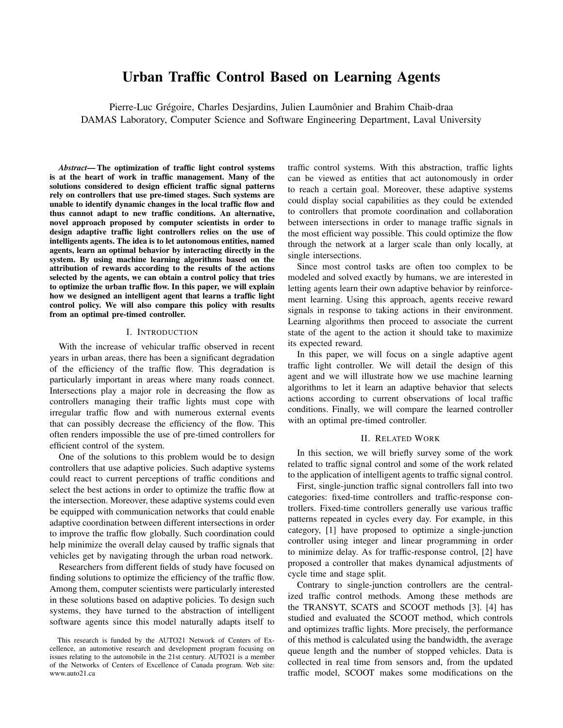# Urban Traffic Control Based on Learning Agents

Pierre-Luc Grégoire, Charles Desjardins, Julien Laumônier and Brahim Chaib-draa DAMAS Laboratory, Computer Science and Software Engineering Department, Laval University

*Abstract*— The optimization of traffic light control systems is at the heart of work in traffic management. Many of the solutions considered to design efficient traffic signal patterns rely on controllers that use pre-timed stages. Such systems are unable to identify dynamic changes in the local traffic flow and thus cannot adapt to new traffic conditions. An alternative, novel approach proposed by computer scientists in order to design adaptive traffic light controllers relies on the use of intelligents agents. The idea is to let autonomous entities, named agents, learn an optimal behavior by interacting directly in the system. By using machine learning algorithms based on the attribution of rewards according to the results of the actions selected by the agents, we can obtain a control policy that tries to optimize the urban traffic flow. In this paper, we will explain how we designed an intelligent agent that learns a traffic light control policy. We will also compare this policy with results from an optimal pre-timed controller.

### I. INTRODUCTION

With the increase of vehicular traffic observed in recent years in urban areas, there has been a significant degradation of the efficiency of the traffic flow. This degradation is particularly important in areas where many roads connect. Intersections play a major role in decreasing the flow as controllers managing their traffic lights must cope with irregular traffic flow and with numerous external events that can possibly decrease the efficiency of the flow. This often renders impossible the use of pre-timed controllers for efficient control of the system.

One of the solutions to this problem would be to design controllers that use adaptive policies. Such adaptive systems could react to current perceptions of traffic conditions and select the best actions in order to optimize the traffic flow at the intersection. Moreover, these adaptive systems could even be equipped with communication networks that could enable adaptive coordination between different intersections in order to improve the traffic flow globally. Such coordination could help minimize the overall delay caused by traffic signals that vehicles get by navigating through the urban road network.

Researchers from different fields of study have focused on finding solutions to optimize the efficiency of the traffic flow. Among them, computer scientists were particularly interested in these solutions based on adaptive policies. To design such systems, they have turned to the abstraction of intelligent software agents since this model naturally adapts itself to

traffic control systems. With this abstraction, traffic lights can be viewed as entities that act autonomously in order to reach a certain goal. Moreover, these adaptive systems could display social capabilities as they could be extended to controllers that promote coordination and collaboration between intersections in order to manage traffic signals in the most efficient way possible. This could optimize the flow through the network at a larger scale than only locally, at single intersections.

Since most control tasks are often too complex to be modeled and solved exactly by humans, we are interested in letting agents learn their own adaptive behavior by reinforcement learning. Using this approach, agents receive reward signals in response to taking actions in their environment. Learning algorithms then proceed to associate the current state of the agent to the action it should take to maximize its expected reward.

In this paper, we will focus on a single adaptive agent traffic light controller. We will detail the design of this agent and we will illustrate how we use machine learning algorithms to let it learn an adaptive behavior that selects actions according to current observations of local traffic conditions. Finally, we will compare the learned controller with an optimal pre-timed controller.

## II. RELATED WORK

In this section, we will briefly survey some of the work related to traffic signal control and some of the work related to the application of intelligent agents to traffic signal control.

First, single-junction traffic signal controllers fall into two categories: fixed-time controllers and traffic-response controllers. Fixed-time controllers generally use various traffic patterns repeated in cycles every day. For example, in this category, [1] have proposed to optimize a single-junction controller using integer and linear programming in order to minimize delay. As for traffic-response control, [2] have proposed a controller that makes dynamical adjustments of cycle time and stage split.

Contrary to single-junction controllers are the centralized traffic control methods. Among these methods are the TRANSYT, SCATS and SCOOT methods [3]. [4] has studied and evaluated the SCOOT method, which controls and optimizes traffic lights. More precisely, the performance of this method is calculated using the bandwidth, the average queue length and the number of stopped vehicles. Data is collected in real time from sensors and, from the updated traffic model, SCOOT makes some modifications on the

This research is funded by the AUTO21 Network of Centers of Excellence, an automotive research and development program focusing on issues relating to the automobile in the 21st century. AUTO21 is a member of the Networks of Centers of Excellence of Canada program. Web site: www.auto21.ca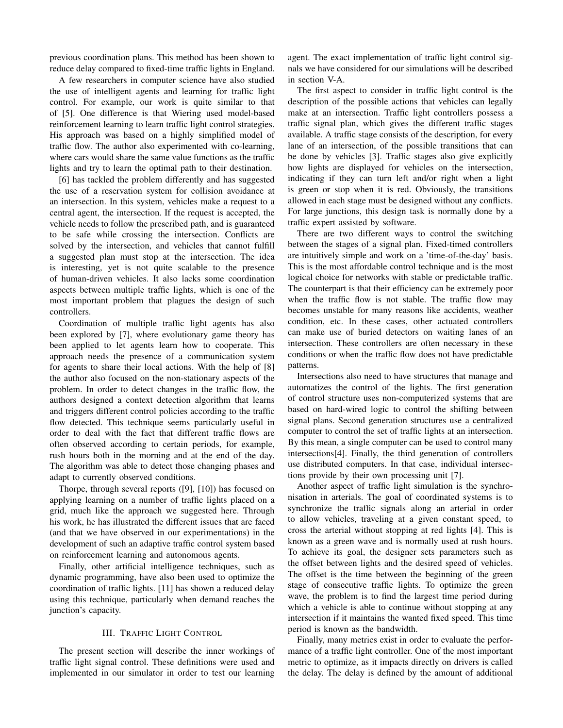previous coordination plans. This method has been shown to reduce delay compared to fixed-time traffic lights in England.

A few researchers in computer science have also studied the use of intelligent agents and learning for traffic light control. For example, our work is quite similar to that of [5]. One difference is that Wiering used model-based reinforcement learning to learn traffic light control strategies. His approach was based on a highly simplified model of traffic flow. The author also experimented with co-learning, where cars would share the same value functions as the traffic lights and try to learn the optimal path to their destination.

[6] has tackled the problem differently and has suggested the use of a reservation system for collision avoidance at an intersection. In this system, vehicles make a request to a central agent, the intersection. If the request is accepted, the vehicle needs to follow the prescribed path, and is guaranteed to be safe while crossing the intersection. Conflicts are solved by the intersection, and vehicles that cannot fulfill a suggested plan must stop at the intersection. The idea is interesting, yet is not quite scalable to the presence of human-driven vehicles. It also lacks some coordination aspects between multiple traffic lights, which is one of the most important problem that plagues the design of such controllers.

Coordination of multiple traffic light agents has also been explored by [7], where evolutionary game theory has been applied to let agents learn how to cooperate. This approach needs the presence of a communication system for agents to share their local actions. With the help of [8] the author also focused on the non-stationary aspects of the problem. In order to detect changes in the traffic flow, the authors designed a context detection algorithm that learns and triggers different control policies according to the traffic flow detected. This technique seems particularly useful in order to deal with the fact that different traffic flows are often observed according to certain periods, for example, rush hours both in the morning and at the end of the day. The algorithm was able to detect those changing phases and adapt to currently observed conditions.

Thorpe, through several reports ([9], [10]) has focused on applying learning on a number of traffic lights placed on a grid, much like the approach we suggested here. Through his work, he has illustrated the different issues that are faced (and that we have observed in our experimentations) in the development of such an adaptive traffic control system based on reinforcement learning and autonomous agents.

Finally, other artificial intelligence techniques, such as dynamic programming, have also been used to optimize the coordination of traffic lights. [11] has shown a reduced delay using this technique, particularly when demand reaches the junction's capacity.

## III. TRAFFIC LIGHT CONTROL

The present section will describe the inner workings of traffic light signal control. These definitions were used and implemented in our simulator in order to test our learning agent. The exact implementation of traffic light control signals we have considered for our simulations will be described in section V-A.

The first aspect to consider in traffic light control is the description of the possible actions that vehicles can legally make at an intersection. Traffic light controllers possess a traffic signal plan, which gives the different traffic stages available. A traffic stage consists of the description, for every lane of an intersection, of the possible transitions that can be done by vehicles [3]. Traffic stages also give explicitly how lights are displayed for vehicles on the intersection, indicating if they can turn left and/or right when a light is green or stop when it is red. Obviously, the transitions allowed in each stage must be designed without any conflicts. For large junctions, this design task is normally done by a traffic expert assisted by software.

There are two different ways to control the switching between the stages of a signal plan. Fixed-timed controllers are intuitively simple and work on a 'time-of-the-day' basis. This is the most affordable control technique and is the most logical choice for networks with stable or predictable traffic. The counterpart is that their efficiency can be extremely poor when the traffic flow is not stable. The traffic flow may becomes unstable for many reasons like accidents, weather condition, etc. In these cases, other actuated controllers can make use of buried detectors on waiting lanes of an intersection. These controllers are often necessary in these conditions or when the traffic flow does not have predictable patterns.

Intersections also need to have structures that manage and automatizes the control of the lights. The first generation of control structure uses non-computerized systems that are based on hard-wired logic to control the shifting between signal plans. Second generation structures use a centralized computer to control the set of traffic lights at an intersection. By this mean, a single computer can be used to control many intersections[4]. Finally, the third generation of controllers use distributed computers. In that case, individual intersections provide by their own processing unit [7].

Another aspect of traffic light simulation is the synchronisation in arterials. The goal of coordinated systems is to synchronize the traffic signals along an arterial in order to allow vehicles, traveling at a given constant speed, to cross the arterial without stopping at red lights [4]. This is known as a green wave and is normally used at rush hours. To achieve its goal, the designer sets parameters such as the offset between lights and the desired speed of vehicles. The offset is the time between the beginning of the green stage of consecutive traffic lights. To optimize the green wave, the problem is to find the largest time period during which a vehicle is able to continue without stopping at any intersection if it maintains the wanted fixed speed. This time period is known as the bandwidth.

Finally, many metrics exist in order to evaluate the performance of a traffic light controller. One of the most important metric to optimize, as it impacts directly on drivers is called the delay. The delay is defined by the amount of additional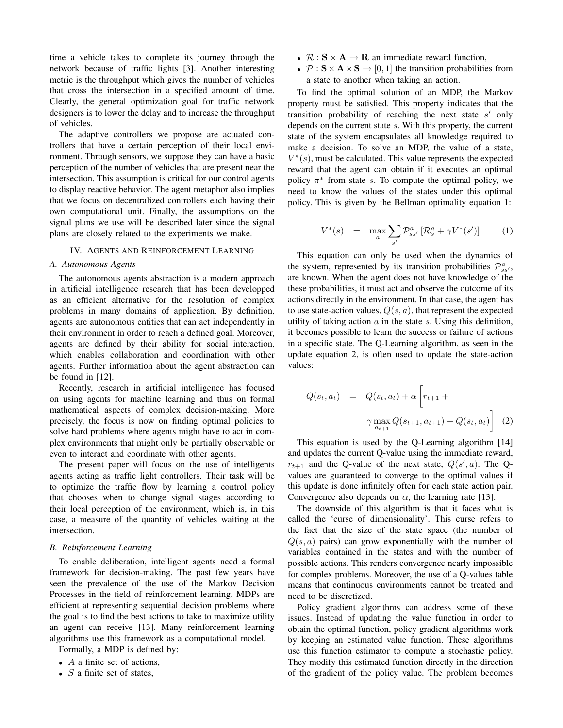time a vehicle takes to complete its journey through the network because of traffic lights [3]. Another interesting metric is the throughput which gives the number of vehicles that cross the intersection in a specified amount of time. Clearly, the general optimization goal for traffic network designers is to lower the delay and to increase the throughput of vehicles.

The adaptive controllers we propose are actuated controllers that have a certain perception of their local environment. Through sensors, we suppose they can have a basic perception of the number of vehicles that are present near the intersection. This assumption is critical for our control agents to display reactive behavior. The agent metaphor also implies that we focus on decentralized controllers each having their own computational unit. Finally, the assumptions on the signal plans we use will be described later since the signal plans are closely related to the experiments we make.

## IV. AGENTS AND REINFORCEMENT LEARNING

#### *A. Autonomous Agents*

The autonomous agents abstraction is a modern approach in artificial intelligence research that has been developped as an efficient alternative for the resolution of complex problems in many domains of application. By definition, agents are autonomous entities that can act independently in their environment in order to reach a defined goal. Moreover, agents are defined by their ability for social interaction, which enables collaboration and coordination with other agents. Further information about the agent abstraction can be found in [12].

Recently, research in artificial intelligence has focused on using agents for machine learning and thus on formal mathematical aspects of complex decision-making. More precisely, the focus is now on finding optimal policies to solve hard problems where agents might have to act in complex environments that might only be partially observable or even to interact and coordinate with other agents.

The present paper will focus on the use of intelligents agents acting as traffic light controllers. Their task will be to optimize the traffic flow by learning a control policy that chooses when to change signal stages according to their local perception of the environment, which is, in this case, a measure of the quantity of vehicles waiting at the intersection.

#### *B. Reinforcement Learning*

To enable deliberation, intelligent agents need a formal framework for decision-making. The past few years have seen the prevalence of the use of the Markov Decision Processes in the field of reinforcement learning. MDPs are efficient at representing sequential decision problems where the goal is to find the best actions to take to maximize utility an agent can receive [13]. Many reinforcement learning algorithms use this framework as a computational model.

Formally, a MDP is defined by:

- $A$  a finite set of actions,
- $S$  a finite set of states,
- $\mathcal{R}: \mathbf{S} \times \mathbf{A} \rightarrow \mathbf{R}$  an immediate reward function,
- $\mathcal{P}: \mathbf{S} \times \mathbf{A} \times \mathbf{S} \rightarrow [0, 1]$  the transition probabilities from a state to another when taking an action.

To find the optimal solution of an MDP, the Markov property must be satisfied. This property indicates that the transition probability of reaching the next state  $s'$  only depends on the current state s. With this property, the current state of the system encapsulates all knowledge required to make a decision. To solve an MDP, the value of a state,  $V^*(s)$ , must be calculated. This value represents the expected reward that the agent can obtain if it executes an optimal policy  $\pi^*$  from state s. To compute the optimal policy, we need to know the values of the states under this optimal policy. This is given by the Bellman optimality equation 1:

$$
V^*(s) = \max_{a} \sum_{s'} \mathcal{P}_{ss'}^a [\mathcal{R}_s^a + \gamma V^*(s')] \tag{1}
$$

This equation can only be used when the dynamics of the system, represented by its transition probabilities  $\mathcal{P}^a_{ss'}$ , are known. When the agent does not have knowledge of the these probabilities, it must act and observe the outcome of its actions directly in the environment. In that case, the agent has to use state-action values,  $Q(s, a)$ , that represent the expected utility of taking action  $a$  in the state  $s$ . Using this definition, it becomes possible to learn the success or failure of actions in a specific state. The Q-Learning algorithm, as seen in the update equation 2, is often used to update the state-action values:

$$
Q(s_t, a_t) = Q(s_t, a_t) + \alpha \left[ r_{t+1} + \gamma \max_{a_{t+1}} Q(s_{t+1}, a_{t+1}) - Q(s_t, a_t) \right]
$$
 (2)

This equation is used by the Q-Learning algorithm [14] and updates the current Q-value using the immediate reward,  $r_{t+1}$  and the Q-value of the next state,  $Q(s', a)$ . The Qvalues are guaranteed to converge to the optimal values if this update is done infinitely often for each state action pair. Convergence also depends on  $\alpha$ , the learning rate [13].

The downside of this algorithm is that it faces what is called the 'curse of dimensionality'. This curse refers to the fact that the size of the state space (the number of  $Q(s, a)$  pairs) can grow exponentially with the number of variables contained in the states and with the number of possible actions. This renders convergence nearly impossible for complex problems. Moreover, the use of a Q-values table means that continuous environments cannot be treated and need to be discretized.

Policy gradient algorithms can address some of these issues. Instead of updating the value function in order to obtain the optimal function, policy gradient algorithms work by keeping an estimated value function. These algorithms use this function estimator to compute a stochastic policy. They modify this estimated function directly in the direction of the gradient of the policy value. The problem becomes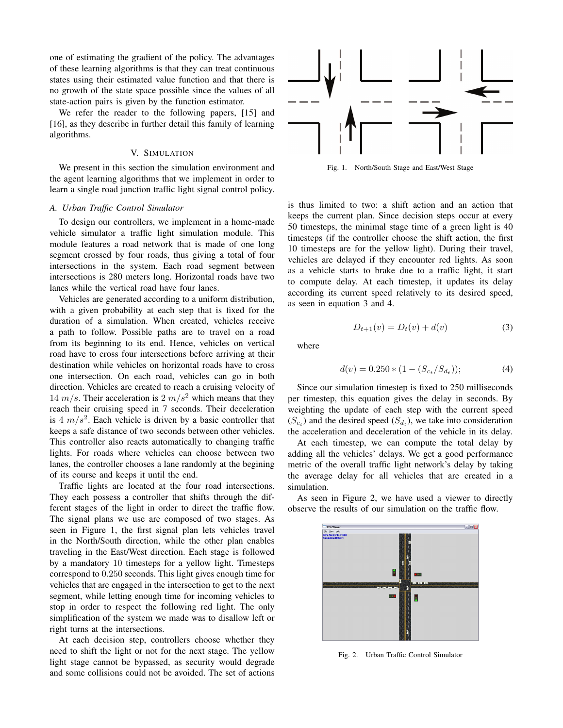one of estimating the gradient of the policy. The advantages of these learning algorithms is that they can treat continuous states using their estimated value function and that there is no growth of the state space possible since the values of all state-action pairs is given by the function estimator.

We refer the reader to the following papers, [15] and [16], as they describe in further detail this family of learning algorithms.

# V. SIMULATION

We present in this section the simulation environment and the agent learning algorithms that we implement in order to learn a single road junction traffic light signal control policy.

## *A. Urban Traffic Control Simulator*

To design our controllers, we implement in a home-made vehicle simulator a traffic light simulation module. This module features a road network that is made of one long segment crossed by four roads, thus giving a total of four intersections in the system. Each road segment between intersections is 280 meters long. Horizontal roads have two lanes while the vertical road have four lanes.

Vehicles are generated according to a uniform distribution, with a given probability at each step that is fixed for the duration of a simulation. When created, vehicles receive a path to follow. Possible paths are to travel on a road from its beginning to its end. Hence, vehicles on vertical road have to cross four intersections before arriving at their destination while vehicles on horizontal roads have to cross one intersection. On each road, vehicles can go in both direction. Vehicles are created to reach a cruising velocity of 14  $m/s$ . Their acceleration is 2  $m/s^2$  which means that they reach their cruising speed in 7 seconds. Their deceleration is 4  $m/s^2$ . Each vehicle is driven by a basic controller that keeps a safe distance of two seconds between other vehicles. This controller also reacts automatically to changing traffic lights. For roads where vehicles can choose between two lanes, the controller chooses a lane randomly at the begining of its course and keeps it until the end.

Traffic lights are located at the four road intersections. They each possess a controller that shifts through the different stages of the light in order to direct the traffic flow. The signal plans we use are composed of two stages. As seen in Figure 1, the first signal plan lets vehicles travel in the North/South direction, while the other plan enables traveling in the East/West direction. Each stage is followed by a mandatory 10 timesteps for a yellow light. Timesteps correspond to 0.250 seconds. This light gives enough time for vehicles that are engaged in the intersection to get to the next segment, while letting enough time for incoming vehicles to stop in order to respect the following red light. The only simplification of the system we made was to disallow left or right turns at the intersections.

At each decision step, controllers choose whether they need to shift the light or not for the next stage. The yellow light stage cannot be bypassed, as security would degrade and some collisions could not be avoided. The set of actions



Fig. 1. North/South Stage and East/West Stage

is thus limited to two: a shift action and an action that keeps the current plan. Since decision steps occur at every 50 timesteps, the minimal stage time of a green light is 40 timesteps (if the controller choose the shift action, the first 10 timesteps are for the yellow light). During their travel, vehicles are delayed if they encounter red lights. As soon as a vehicle starts to brake due to a traffic light, it start to compute delay. At each timestep, it updates its delay according its current speed relatively to its desired speed, as seen in equation 3 and 4.

$$
D_{t+1}(v) = D_t(v) + d(v)
$$
 (3)

where

$$
d(v) = 0.250 * (1 - (S_{c_t}/S_{d_t}));
$$
\n(4)

Since our simulation timestep is fixed to 250 milliseconds per timestep, this equation gives the delay in seconds. By weighting the update of each step with the current speed  $(S_{c_t})$  and the desired speed  $(S_{d_t})$ , we take into consideration the acceleration and deceleration of the vehicle in its delay.

At each timestep, we can compute the total delay by adding all the vehicles' delays. We get a good performance metric of the overall traffic light network's delay by taking the average delay for all vehicles that are created in a simulation.

As seen in Figure 2, we have used a viewer to directly observe the results of our simulation on the traffic flow.



Fig. 2. Urban Traffic Control Simulator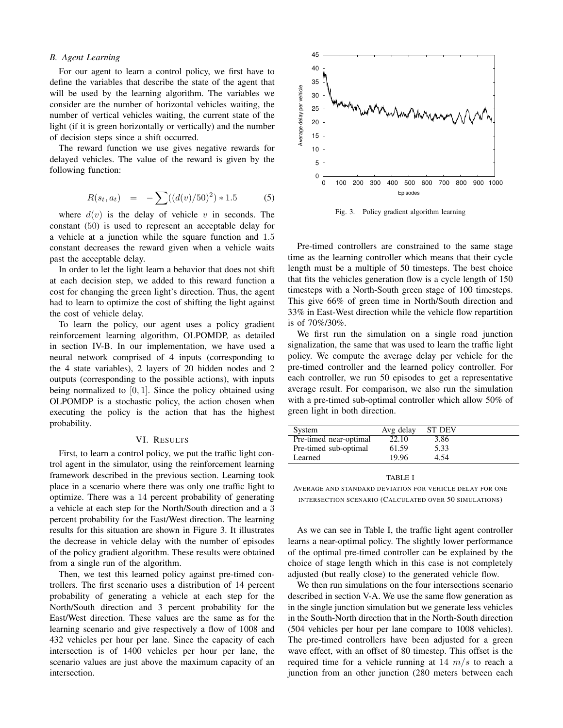#### *B. Agent Learning*

For our agent to learn a control policy, we first have to define the variables that describe the state of the agent that will be used by the learning algorithm. The variables we consider are the number of horizontal vehicles waiting, the number of vertical vehicles waiting, the current state of the light (if it is green horizontally or vertically) and the number of decision steps since a shift occurred.

The reward function we use gives negative rewards for delayed vehicles. The value of the reward is given by the following function:

$$
R(s_t, a_t) = -\sum ((d(v)/50)^2) * 1.5
$$
 (5)

where  $d(v)$  is the delay of vehicle v in seconds. The constant (50) is used to represent an acceptable delay for a vehicle at a junction while the square function and 1.5 constant decreases the reward given when a vehicle waits past the acceptable delay.

In order to let the light learn a behavior that does not shift at each decision step, we added to this reward function a cost for changing the green light's direction. Thus, the agent had to learn to optimize the cost of shifting the light against the cost of vehicle delay.

To learn the policy, our agent uses a policy gradient reinforcement learning algorithm, OLPOMDP, as detailed in section IV-B. In our implementation, we have used a neural network comprised of 4 inputs (corresponding to the 4 state variables), 2 layers of 20 hidden nodes and 2 outputs (corresponding to the possible actions), with inputs being normalized to  $[0, 1]$ . Since the policy obtained using OLPOMDP is a stochastic policy, the action chosen when executing the policy is the action that has the highest probability.

## VI. RESULTS

First, to learn a control policy, we put the traffic light control agent in the simulator, using the reinforcement learning framework described in the previous section. Learning took place in a scenario where there was only one traffic light to optimize. There was a 14 percent probability of generating a vehicle at each step for the North/South direction and a 3 percent probability for the East/West direction. The learning results for this situation are shown in Figure 3. It illustrates the decrease in vehicle delay with the number of episodes of the policy gradient algorithm. These results were obtained from a single run of the algorithm.

Then, we test this learned policy against pre-timed controllers. The first scenario uses a distribution of 14 percent probability of generating a vehicle at each step for the North/South direction and 3 percent probability for the East/West direction. These values are the same as for the learning scenario and give respectively a flow of 1008 and 432 vehicles per hour per lane. Since the capacity of each intersection is of 1400 vehicles per hour per lane, the scenario values are just above the maximum capacity of an intersection.



Fig. 3. Policy gradient algorithm learning

Pre-timed controllers are constrained to the same stage time as the learning controller which means that their cycle length must be a multiple of 50 timesteps. The best choice that fits the vehicles generation flow is a cycle length of 150 timesteps with a North-South green stage of 100 timesteps. This give 66% of green time in North/South direction and 33% in East-West direction while the vehicle flow repartition is of 70%/30%.

We first run the simulation on a single road junction signalization, the same that was used to learn the traffic light policy. We compute the average delay per vehicle for the pre-timed controller and the learned policy controller. For each controller, we run 50 episodes to get a representative average result. For comparison, we also run the simulation with a pre-timed sub-optimal controller which allow 50% of green light in both direction.

| System                 | Avg delay | <b>ST DEV</b> |  |
|------------------------|-----------|---------------|--|
| Pre-timed near-optimal | 22.10     | 3.86          |  |
| Pre-timed sub-optimal  | 61.59     | 5.33          |  |
| Learned                | 19.96     | 4.54          |  |

TABLE I

AVERAGE AND STANDARD DEVIATION FOR VEHICLE DELAY FOR ONE INTERSECTION SCENARIO (CALCULATED OVER 50 SIMULATIONS)

As we can see in Table I, the traffic light agent controller learns a near-optimal policy. The slightly lower performance of the optimal pre-timed controller can be explained by the choice of stage length which in this case is not completely adjusted (but really close) to the generated vehicle flow.

We then run simulations on the four intersections scenario described in section V-A. We use the same flow generation as in the single junction simulation but we generate less vehicles in the South-North direction that in the North-South direction (504 vehicles per hour per lane compare to 1008 vehicles). The pre-timed controllers have been adjusted for a green wave effect, with an offset of 80 timestep. This offset is the required time for a vehicle running at 14  $m/s$  to reach a junction from an other junction (280 meters between each